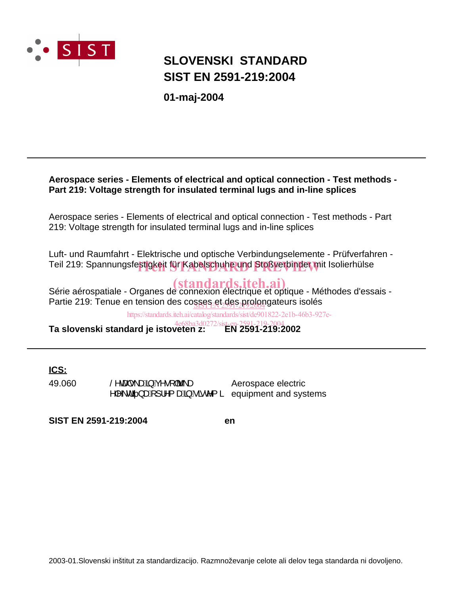

# **SIST EN 2591-219:2004 SLOVENSKI STANDARD**

**01-maj-2004**

### **Aerospace series - Elements of electrical and optical connection - Test methods - Part 219: Voltage strength for insulated terminal lugs and in-line splices**

Aerospace series - Elements of electrical and optical connection - Test methods - Part 219: Voltage strength for insulated terminal lugs and in-line splices

Luft- und Raumfahrt - Elektrische und optische Verbindungselemente - Prüfverfahren - Teil 219: Spannungsfe<mark>stigkeit für Kabelschuhe und Stoßverbinder m</mark>it Isolierhülse

Série aérospatiale - Organes de connexion électrique et optique - Méthodes d'essais -Partie 219: Tenue en tension des cosses et des prolongateurs isolés

https://standards.iteh.ai/catalog/standards/sist/de901822-2e1b-46b3-927e-

**Ta slovenski standard je istoveten z: EN 2591-219:2002** 4e68ba3d0272/sis

### **ICS:**

49.060 Š^caalor\aa\$jAç^∙[|br\a ^|^\dã}æa[]¦^{æ\$§jAlãe^{ ä Aerospace electric equipment and systems

**SIST EN 2591-219:2004 en**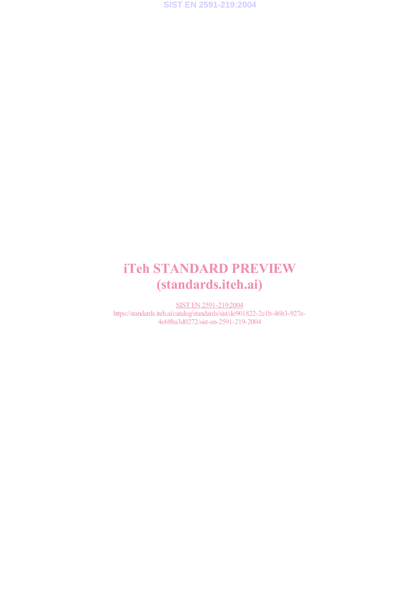

# iTeh STANDARD PREVIEW (standards.iteh.ai)

SIST EN 2591-219:2004 https://standards.iteh.ai/catalog/standards/sist/de901822-2e1b-46b3-927e-4e68ba3d0272/sist-en-2591-219-2004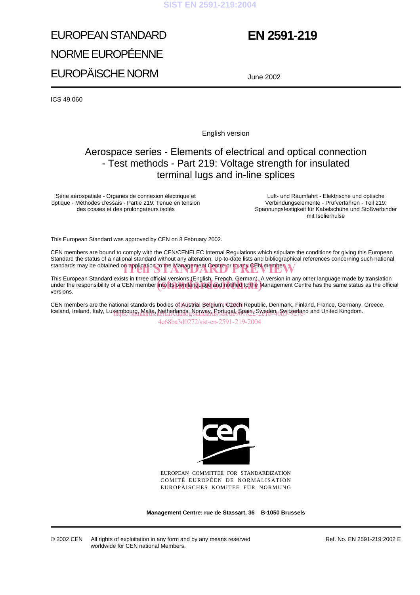# EUROPEAN STANDARD NORME EUROPÉENNE EUROPÄISCHE NORM

# **EN 2591-219**

June 2002

ICS 49.060

English version

## Aerospace series - Elements of electrical and optical connection - Test methods - Part 219: Voltage strength for insulated terminal lugs and in-line splices

Série aérospatiale - Organes de connexion électrique et optique - Méthodes d'essais - Partie 219: Tenue en tension des cosses et des prolongateurs isolés

Luft- und Raumfahrt - Elektrische und optische Verbindungselemente - Prüfverfahren - Teil 219: Spannungsfestigkeit für Kabelschühe und Stoßverbinder mit Isolierhulse

This European Standard was approved by CEN on 8 February 2002.

CEN members are bound to comply with the CEN/CENELEC Internal Regulations which stipulate the conditions for giving this European Standard the status of a national standard without any alteration. Up-to-date lists and bibliographical references concerning such national standards may be obtained on application to the Management Centre or to any CEN member.

This European Standard exists in three official versions (English, French, German). A version in any other language made by translation This European Standard exists in three official versions (English, French, German). A version in any other language made by translation<br>under the responsibility of a CEN member into its own language and hotified to the Man versions.

CEN members are the national standards bodies of Austria, Belgium, Czech Republic, Denmark, Finland, France, Germany, Greece, lceland, Ireland, Italy, Luxembourg, Malta, Netherlands, Norway, Portugal, Spain, Sweden, Switzerland and United Kingdom.

4e68ba3d0272/sist-en-2591-219-2004



EUROPEAN COMMITTEE FOR STANDARDIZATION COMITÉ EUROPÉEN DE NORMALISATION EUROPÄISCHES KOMITEE FÜR NORMUNG

**Management Centre: rue de Stassart, 36 B-1050 Brussels**

© 2002 CEN All rights of exploitation in any form and by any means reserved worldwide for CEN national Members.

Ref. No. EN 2591-219:2002 E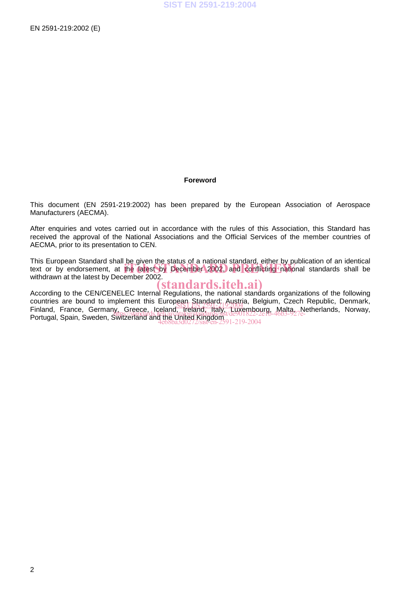#### **Foreword**

This document (EN 2591-219:2002) has been prepared by the European Association of Aerospace Manufacturers (AECMA).

After enquiries and votes carried out in accordance with the rules of this Association, this Standard has received the approval of the National Associations and the Official Services of the member countries of AECMA, prior to its presentation to CEN.

This European Standard shall be given the status of a national standard, either by publication of an identical This European Standard shall be given the status of a hallohal standard, either by publication of an identical<br>text or by endorsement, at the latest by December 2002, and conflicting Inational standards shall be withdrawn at the latest by December 2002.

### (standards.iteh.ai)

According to the CEN/CENELEC Internal Regulations, the national standards organizations of the following countries are bound to implement this European Standard: Austria, Belgium, Czech Republic, Denmark, countries are bound to implement this European Standard, Aystita, Belgium, Czech Republic, Denmark,<br>Finland, France, Germany, Greece, Iceland, Ireland, Italy, Luxembourg, Malta, Netherlands, Norway, Portugal, Spain, Sweden, Switzerland and the United Kingdom<br>Portugal, Spain, Sweden, Switzerland and the United Kingdom 4e68ba3d0272/sist-en-2591-219-2004